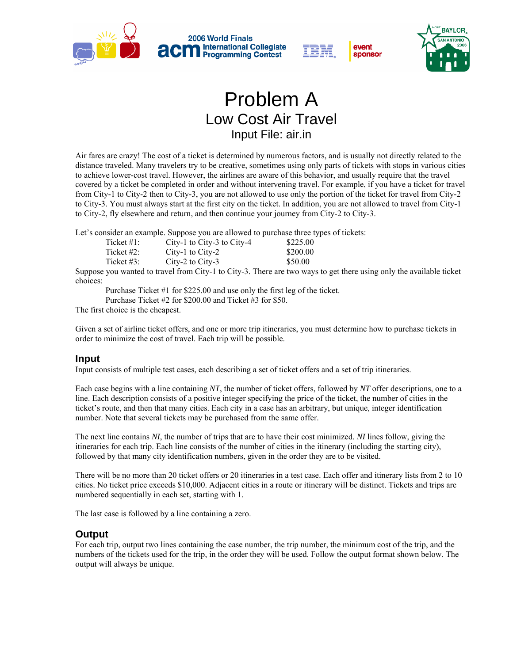



Air fares are crazy! The cost of a ticket is determined by numerous factors, and is usually not directly related to the distance traveled. Many travelers try to be creative, sometimes using only parts of tickets with stops in various cities to achieve lower-cost travel. However, the airlines are aware of this behavior, and usually require that the travel covered by a ticket be completed in order and without intervening travel. For example, if you have a ticket for travel from City-1 to City-2 then to City-3, you are not allowed to use only the portion of the ticket for travel from City-2 to City-3. You must always start at the first city on the ticket. In addition, you are not allowed to travel from City-1 to City-2, fly elsewhere and return, and then continue your journey from City-2 to City-3.

Let's consider an example. Suppose you are allowed to purchase three types of tickets:

| Ticket #1:    | City-1 to City-3 to City-4 | \$225.00 |
|---------------|----------------------------|----------|
| Ticket #2:    | City-1 to City-2           | \$200.00 |
| Ticket $#3$ : | City-2 to City-3           | \$50.00  |

Suppose you wanted to travel from City-1 to City-3. There are two ways to get there using only the available ticket choices:

Purchase Ticket #1 for \$225.00 and use only the first leg of the ticket.

Purchase Ticket #2 for \$200.00 and Ticket #3 for \$50.

The first choice is the cheapest.

Given a set of airline ticket offers, and one or more trip itineraries, you must determine how to purchase tickets in order to minimize the cost of travel. Each trip will be possible.

### **Input**

Input consists of multiple test cases, each describing a set of ticket offers and a set of trip itineraries.

Each case begins with a line containing *NT*, the number of ticket offers, followed by *NT* offer descriptions, one to a line. Each description consists of a positive integer specifying the price of the ticket, the number of cities in the ticket's route, and then that many cities. Each city in a case has an arbitrary, but unique, integer identification number. Note that several tickets may be purchased from the same offer.

The next line contains *NI*, the number of trips that are to have their cost minimized. *NI* lines follow, giving the itineraries for each trip. Each line consists of the number of cities in the itinerary (including the starting city), followed by that many city identification numbers, given in the order they are to be visited.

There will be no more than 20 ticket offers or 20 itineraries in a test case. Each offer and itinerary lists from 2 to 10 cities. No ticket price exceeds \$10,000. Adjacent cities in a route or itinerary will be distinct. Tickets and trips are numbered sequentially in each set, starting with 1.

The last case is followed by a line containing a zero.

# **Output**

For each trip, output two lines containing the case number, the trip number, the minimum cost of the trip, and the numbers of the tickets used for the trip, in the order they will be used. Follow the output format shown below. The output will always be unique.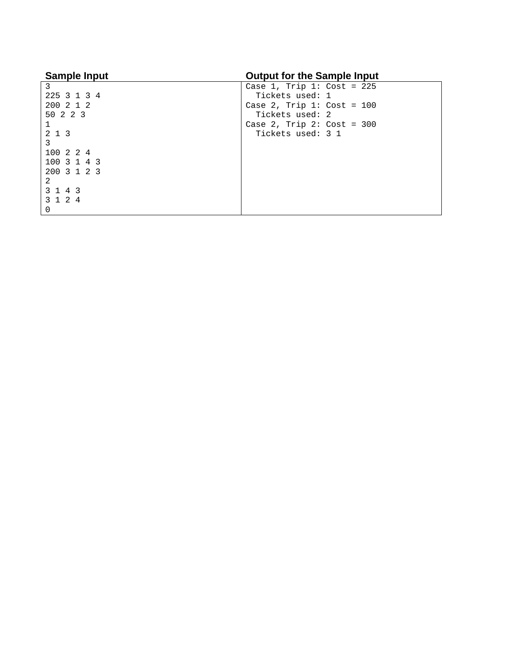| <b>Sample Input</b> | <b>Output for the Sample Input</b> |
|---------------------|------------------------------------|
| $\mathbf{3}$        | Case 1, Trip 1: $Cost = 225$       |
| 225 3 1 3 4         | Tickets used: 1                    |
| 200 2 1 2           | Case 2, Trip 1: $Cost = 100$       |
| $50 \t2 \t2 \t3$    | Tickets used: 2                    |
|                     | Case 2, Trip 2: $Cost = 300$       |
| $2\quad1\quad3$     | Tickets used: 3 1                  |
| 3                   |                                    |
| 100 2 2 4           |                                    |
| 100 3 1 4 3         |                                    |
| 200 3 1 2 3         |                                    |
| 2                   |                                    |
| 3 1 4 3             |                                    |
| 3 1 2 4             |                                    |
| 0                   |                                    |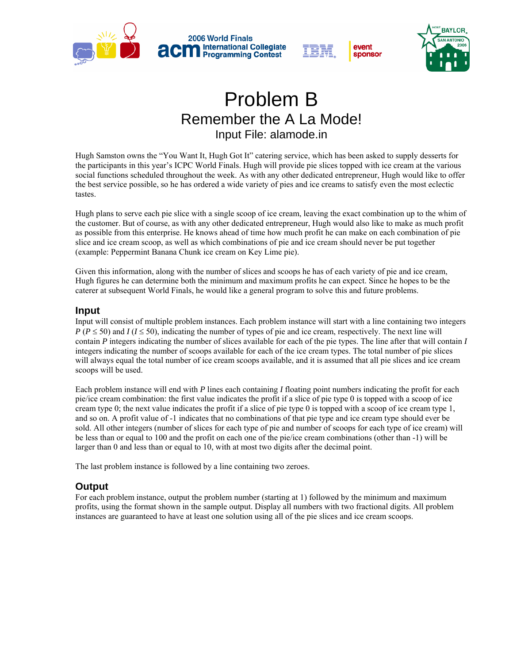

# Problem B Remember the A La Mode! Input File: alamode.in

Hugh Samston owns the "You Want It, Hugh Got It" catering service, which has been asked to supply desserts for the participants in this year's ICPC World Finals. Hugh will provide pie slices topped with ice cream at the various social functions scheduled throughout the week. As with any other dedicated entrepreneur, Hugh would like to offer the best service possible, so he has ordered a wide variety of pies and ice creams to satisfy even the most eclectic tastes.

Hugh plans to serve each pie slice with a single scoop of ice cream, leaving the exact combination up to the whim of the customer. But of course, as with any other dedicated entrepreneur, Hugh would also like to make as much profit as possible from this enterprise. He knows ahead of time how much profit he can make on each combination of pie slice and ice cream scoop, as well as which combinations of pie and ice cream should never be put together (example: Peppermint Banana Chunk ice cream on Key Lime pie).

Given this information, along with the number of slices and scoops he has of each variety of pie and ice cream, Hugh figures he can determine both the minimum and maximum profits he can expect. Since he hopes to be the caterer at subsequent World Finals, he would like a general program to solve this and future problems.

### **Input**

Input will consist of multiple problem instances. Each problem instance will start with a line containing two integers  $P (P \le 50)$  and  $I (I \le 50)$ , indicating the number of types of pie and ice cream, respectively. The next line will contain *P* integers indicating the number of slices available for each of the pie types. The line after that will contain *I* integers indicating the number of scoops available for each of the ice cream types. The total number of pie slices will always equal the total number of ice cream scoops available, and it is assumed that all pie slices and ice cream scoops will be used.

Each problem instance will end with *P* lines each containing *I* floating point numbers indicating the profit for each pie/ice cream combination: the first value indicates the profit if a slice of pie type 0 is topped with a scoop of ice cream type 0; the next value indicates the profit if a slice of pie type 0 is topped with a scoop of ice cream type 1, and so on. A profit value of -1 indicates that no combinations of that pie type and ice cream type should ever be sold. All other integers (number of slices for each type of pie and number of scoops for each type of ice cream) will be less than or equal to 100 and the profit on each one of the pie/ice cream combinations (other than -1) will be larger than 0 and less than or equal to 10, with at most two digits after the decimal point.

The last problem instance is followed by a line containing two zeroes.

### **Output**

For each problem instance, output the problem number (starting at 1) followed by the minimum and maximum profits, using the format shown in the sample output. Display all numbers with two fractional digits. All problem instances are guaranteed to have at least one solution using all of the pie slices and ice cream scoops.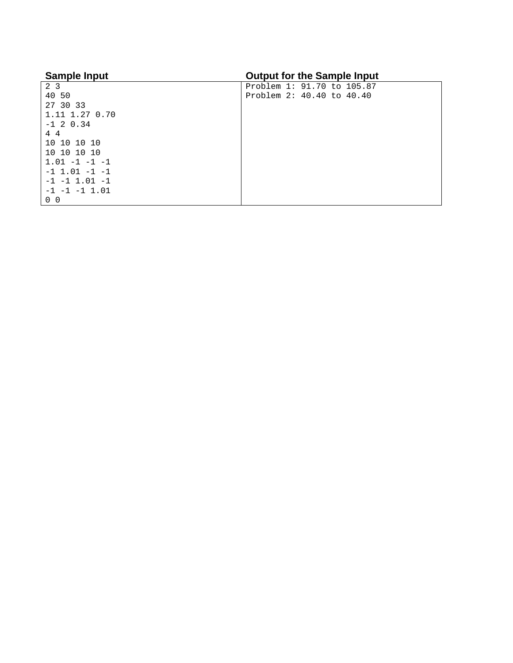| <b>Sample Input</b>   | <b>Output for the Sample Input</b> |
|-----------------------|------------------------------------|
| 2 <sub>3</sub>        | Problem 1: 91.70 to 105.87         |
| 40 50                 | Problem 2: 40.40 to 40.40          |
| 27 30 33              |                                    |
| 1.11 1.27 0.70        |                                    |
| $-1$ 2 0.34           |                                    |
| 4 4                   |                                    |
| 10 10 10<br>1 N       |                                    |
| 10 10 10 10           |                                    |
| $1.01 - 1 - 1 - 1$    |                                    |
| $-1$ 1.01 $-1$ $-1$   |                                    |
| $-1$ $-1$ $1.01$ $-1$ |                                    |
| $-1$ $-1$ $-1$ $1.01$ |                                    |
| $0\quad 0$            |                                    |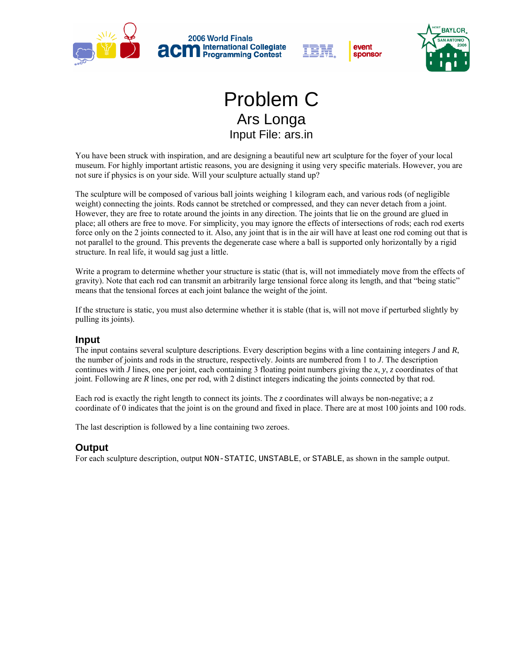





# Problem C Ars Longa Input File: ars.in

You have been struck with inspiration, and are designing a beautiful new art sculpture for the foyer of your local museum. For highly important artistic reasons, you are designing it using very specific materials. However, you are not sure if physics is on your side. Will your sculpture actually stand up?

The sculpture will be composed of various ball joints weighing 1 kilogram each, and various rods (of negligible weight) connecting the joints. Rods cannot be stretched or compressed, and they can never detach from a joint. However, they are free to rotate around the joints in any direction. The joints that lie on the ground are glued in place; all others are free to move. For simplicity, you may ignore the effects of intersections of rods; each rod exerts force only on the 2 joints connected to it. Also, any joint that is in the air will have at least one rod coming out that is not parallel to the ground. This prevents the degenerate case where a ball is supported only horizontally by a rigid structure. In real life, it would sag just a little.

Write a program to determine whether your structure is static (that is, will not immediately move from the effects of gravity). Note that each rod can transmit an arbitrarily large tensional force along its length, and that "being static" means that the tensional forces at each joint balance the weight of the joint.

If the structure is static, you must also determine whether it is stable (that is, will not move if perturbed slightly by pulling its joints).

### **Input**

The input contains several sculpture descriptions. Every description begins with a line containing integers *J* and *R*, the number of joints and rods in the structure, respectively. Joints are numbered from 1 to *J*. The description continues with *J* lines, one per joint, each containing 3 floating point numbers giving the *x*, *y*, *z* coordinates of that joint. Following are *R* lines, one per rod, with 2 distinct integers indicating the joints connected by that rod.

Each rod is exactly the right length to connect its joints. The *z* coordinates will always be non-negative; a *z* coordinate of 0 indicates that the joint is on the ground and fixed in place. There are at most 100 joints and 100 rods.

The last description is followed by a line containing two zeroes.

# **Output**

For each sculpture description, output NON-STATIC, UNSTABLE, or STABLE, as shown in the sample output.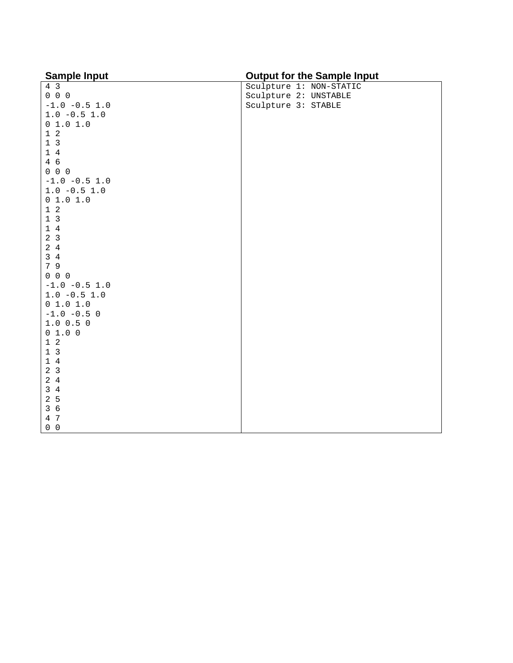| <b>Sample Input</b>      | <b>Output for the Sample Input</b> |
|--------------------------|------------------------------------|
| 4 <sup>3</sup>           | Sculpture 1: NON-STATIC            |
| $0$ 0 0                  | Sculpture 2: UNSTABLE              |
| $-1.0 - 0.5 1.0$         | Sculpture 3: STABLE                |
| $1.0 - 0.5 1.0$          |                                    |
| 01.01.0                  |                                    |
| $1\quad 2$               |                                    |
| 1 <sub>3</sub>           |                                    |
| 14                       |                                    |
| 4 6                      |                                    |
| $0$ 0 0                  |                                    |
| $-1.0 -0.5 1.0$          |                                    |
| $1.0 - 0.5 1.0$          |                                    |
| 0 1.0 1.0                |                                    |
| $1\quad 2$               |                                    |
| 1 <sub>3</sub>           |                                    |
| $1\quad 4$               |                                    |
| 2 <sub>3</sub>           |                                    |
| 24                       |                                    |
| 34                       |                                    |
| 79                       |                                    |
| $0\quad 0\quad 0$        |                                    |
| $-1.0 - 0.5 1.0$         |                                    |
| $1.0 - 0.5 1.0$          |                                    |
| 0 1.0 1.0                |                                    |
| $-1.0 -0.5 0$            |                                    |
| 1.0 0.5 0                |                                    |
| 01.00                    |                                    |
| $1\quad 2$               |                                    |
| $1 \quad 3$              |                                    |
| $1\ \ 4$                 |                                    |
| 2 <sub>3</sub>           |                                    |
| $2\quad 4$<br>$3\quad 4$ |                                    |
| 2 <sub>5</sub>           |                                    |
| 36                       |                                    |
| 4 7                      |                                    |
| $0\quad 0$               |                                    |
|                          |                                    |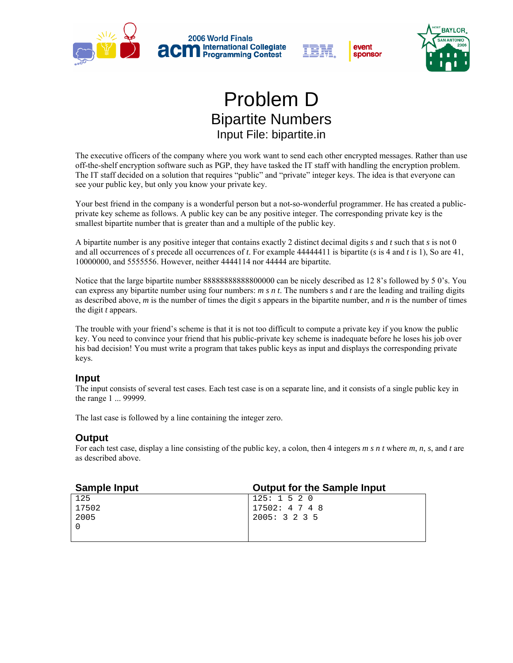



# Problem D Bipartite Numbers Input File: bipartite.in

The executive officers of the company where you work want to send each other encrypted messages. Rather than use off-the-shelf encryption software such as PGP, they have tasked the IT staff with handling the encryption problem. The IT staff decided on a solution that requires "public" and "private" integer keys. The idea is that everyone can see your public key, but only you know your private key.

Your best friend in the company is a wonderful person but a not-so-wonderful programmer. He has created a publicprivate key scheme as follows. A public key can be any positive integer. The corresponding private key is the smallest bipartite number that is greater than and a multiple of the public key.

A bipartite number is any positive integer that contains exactly 2 distinct decimal digits *s* and *t* such that *s* is not 0 and all occurrences of *s* precede all occurrences of *t*. For example 44444411 is bipartite (*s* is 4 and *t* is 1), So are 41, 10000000, and 5555556. However, neither 4444114 nor 44444 are bipartite.

Notice that the large bipartite number 88888888888800000 can be nicely described as 12 8's followed by 5 0's. You can express any bipartite number using four numbers: *m s n t*. The numbers *s* and *t* are the leading and trailing digits as described above, *m* is the number of times the digit *s* appears in the bipartite number, and *n* is the number of times the digit *t* appears.

The trouble with your friend's scheme is that it is not too difficult to compute a private key if you know the public key. You need to convince your friend that his public-private key scheme is inadequate before he loses his job over his bad decision! You must write a program that takes public keys as input and displays the corresponding private keys.

# **Input**

The input consists of several test cases. Each test case is on a separate line, and it consists of a single public key in the range 1 ... 99999.

The last case is followed by a line containing the integer zero.

# **Output**

For each test case, display a line consisting of the public key, a colon, then 4 integers *m s n t* where *m*, *n*, *s*, and *t* are as described above.

| <b>Sample Input</b> | <b>Output for the Sample Input</b> |
|---------------------|------------------------------------|
| 125                 | 125: 1520                          |
| 17502               | 17502: 4748                        |
| 2005                | 2005: 3235                         |
|                     |                                    |
|                     |                                    |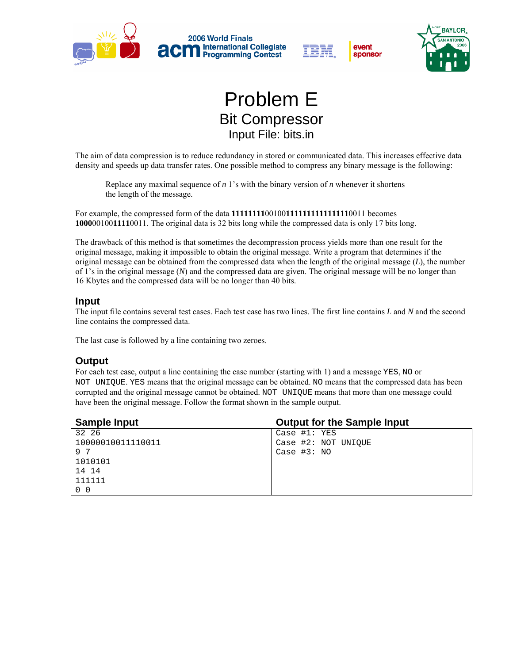





The aim of data compression is to reduce redundancy in stored or communicated data. This increases effective data density and speeds up data transfer rates. One possible method to compress any binary message is the following:

Replace any maximal sequence of *n* 1's with the binary version of *n* whenever it shortens the length of the message.

For example, the compressed form of the data **11111111**00100**111111111111111**0011 becomes **1000**00100**1111**0011. The original data is 32 bits long while the compressed data is only 17 bits long.

The drawback of this method is that sometimes the decompression process yields more than one result for the original message, making it impossible to obtain the original message. Write a program that determines if the original message can be obtained from the compressed data when the length of the original message (*L*), the number of 1's in the original message (*N*) and the compressed data are given. The original message will be no longer than 16 Kbytes and the compressed data will be no longer than 40 bits.

#### **Input**

The input file contains several test cases. Each test case has two lines. The first line contains *L* and *N* and the second line contains the compressed data.

The last case is followed by a line containing two zeroes.

### **Output**

For each test case, output a line containing the case number (starting with 1) and a message YES, NO or NOT UNIQUE. YES means that the original message can be obtained. NO means that the compressed data has been corrupted and the original message cannot be obtained. NOT UNIQUE means that more than one message could have been the original message. Follow the format shown in the sample output.

| <b>Sample Input</b> | <b>Output for the Sample Input</b> |
|---------------------|------------------------------------|
| 32 26               | Case #1: YES                       |
| 10000010011110011   | Case #2: NOT UNIQUE                |
| 97                  | Case $#3:NO$                       |
| 1010101             |                                    |
| 14 14               |                                    |
| 111111              |                                    |
| 0 <sub>0</sub>      |                                    |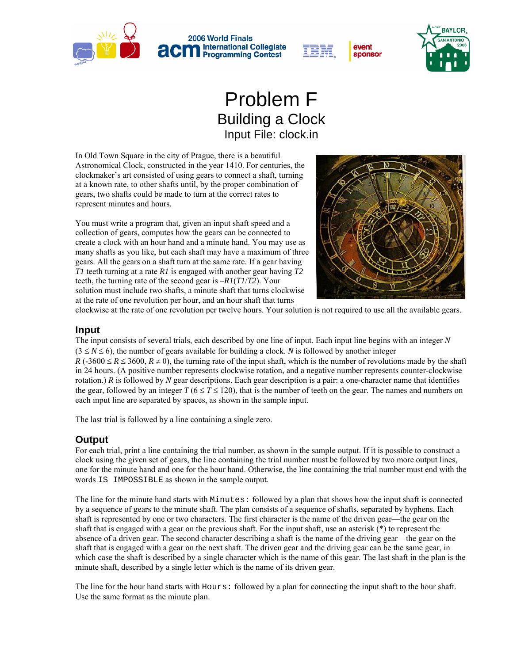



event **sponsor** 



# Problem F Building a Clock Input File: clock.in

In Old Town Square in the city of Prague, there is a beautiful Astronomical Clock, constructed in the year 1410. For centuries, the clockmaker's art consisted of using gears to connect a shaft, turning at a known rate, to other shafts until, by the proper combination of gears, two shafts could be made to turn at the correct rates to represent minutes and hours.

many shafts as you like, but each shaft may have a maximum of three solution must include two shafts, a minute shaft that turns clockwise You must write a program that, given an input shaft speed and a collection of gears, computes how the gears can be connected to create a clock with an hour hand and a minute hand. You may use as gears. All the gears on a shaft turn at the same rate. If a gear having *T1* teeth turning at a rate *R1* is engaged with another gear having *T2* teeth, the turning rate of the second gear is –*R1*(*T1*/*T2*). Your at the rate of one revolution per hour, and an hour shaft that turns



clockwise at the rate of one revolution per twelve hours. Your solution is not required to use all the available gears.

### **Input**

The input consists of several trials, each described by one line of input. Each input line begins with an integer N  $R$  (-3600  $\le R \le 3600$ ,  $R \ne 0$ ), the turning rate of the input shaft, which is the number of revolutions made by the shaft  $(3 \le N \le 6)$ , the number of gears available for building a clock. *N* is followed by another integer in 24 hours. (A positive number represents clockwise rotation, and a negative number represents counter-clockwise rotation.)  $R$  is followed by  $N$  gear descriptions. Each gear description is a pair: a one-character name that identifies the gear, followed by an integer  $T (6 \le T \le 120)$ , that is the number of teeth on the gear. The names and numbers on each input line are separated by spaces, as shown in the sample input.

The last trial is followed by a line containing a single zero.

# **Output**

For each trial, print a line containing the trial number, as shown in the sample output. If it is possible to construct a one for the minute hand and one for the hour hand. Otherwise, the line containing the trial number must end with the clock using the given set of gears, the line containing the trial number must be followed by two more output lines, words IS IMPOSSIBLE as shown in the sample output.

The line for the minute hand starts with Minutes: followed by a plan that shows how the input shaft is connected absence of a driven gear. The second character describing a shaft is the name of the driving gear—the gear on the which case the shaft is described by a single character which is the name of this gear. The last shaft in the plan is the by a sequence of gears to the minute shaft. The plan consists of a sequence of shafts, separated by hyphens. Each shaft is represented by one or two characters. The first character is the name of the driven gear—the gear on the shaft that is engaged with a gear on the previous shaft. For the input shaft, use an asterisk (\*) to represent the shaft that is engaged with a gear on the next shaft. The driven gear and the driving gear can be the same gear, in minute shaft, described by a single letter which is the name of its driven gear.

The line for the hour hand starts with Hours: followed by a plan for connecting the input shaft to the hour shaft. Use the same format as the minute plan.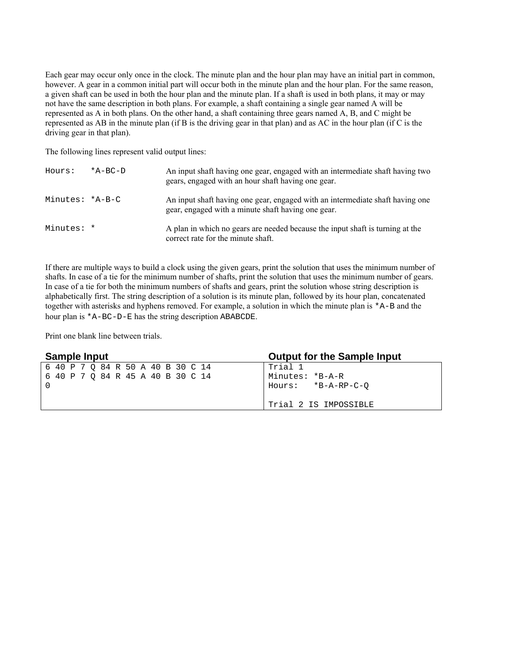Each gear may occur only once in the clock. The minute plan and the hour plan may have an initial part in common, however. A gear in a common initial part will occur both in the minute plan and the hour plan. For the same reason, represented as AB in the minute plan (if B is the driving gear in that plan) and as AC in the hour plan (if C is the a given shaft can be used in both the hour plan and the minute plan. If a shaft is used in both plans, it may or may not have the same description in both plans. For example, a shaft containing a single gear named A will be represented as A in both plans. On the other hand, a shaft containing three gears named A, B, and C might be driving gear in that plan).

The following lines represent valid output lines:

| Hours:          | $*A-BC-D$ | An input shaft having one gear, engaged with an intermediate shaft having two<br>gears, engaged with an hour shaft having one gear. |
|-----------------|-----------|-------------------------------------------------------------------------------------------------------------------------------------|
| Minutes: *A-B-C |           | An input shaft having one gear, engaged with an intermediate shaft having one<br>gear, engaged with a minute shaft having one gear. |
| Minutes: *      |           | A plan in which no gears are needed because the input shaft is turning at the<br>correct rate for the minute shaft.                 |

If there are multiple ways to build a clock using the given gears, print the solution that uses the minimum number of shafts. In case of a tie for the minimum number of shafts, print the solution that uses the minimum number of gears. In case of a tie for both the minimum numbers of shafts and gears, print the solution whose string description is alphabetically first. The string description of a solution is its minute plan, followed by its hour plan, concatenated together with asterisks and hyphens removed. For example, a solution in which the minute plan is \*A-B and the hour plan is \*A-BC-D-E has the string description ABABCDE.

Print one blank line between trials.

| <b>Sample Input</b>               |  |  |  |  |  |  | <b>Output for the Sample Input</b> |  |
|-----------------------------------|--|--|--|--|--|--|------------------------------------|--|
| 6 40 P 7 O 84 R 50 A 40 B 30 C 14 |  |  |  |  |  |  | Trial 1                            |  |
| 6 40 P 7 O 84 R 45 A 40 B 30 C 14 |  |  |  |  |  |  | Minutes: *B-A-R                    |  |
|                                   |  |  |  |  |  |  | Hours: *B-A-RP-C-O                 |  |
|                                   |  |  |  |  |  |  | Trial 2 IS IMPOSSIBLE              |  |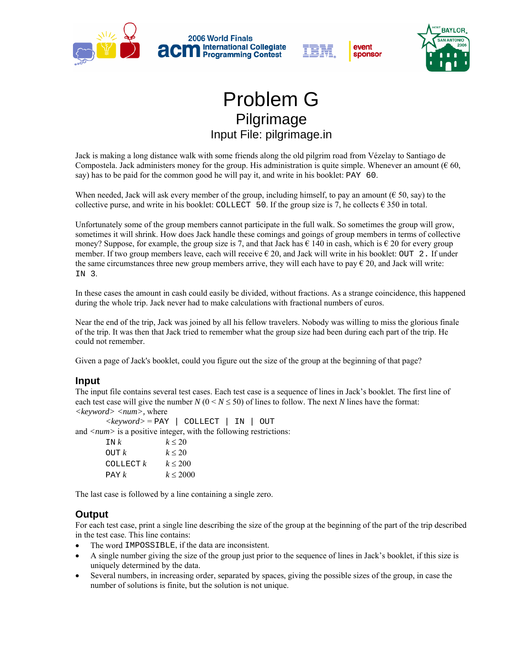



# Problem G Pilgrimage Input File: pilgrimage.in

Jack is making a long distance walk with some friends along the old pilgrim road from Vézelay to Santiago de Compostela. Jack administers money for the group. His administration is quite simple. Whenever an amount ( $\epsilon$  60, say) has to be paid for the common good he will pay it, and write in his booklet: PAY 60.

When needed, Jack will ask every member of the group, including himself, to pay an amount ( $\epsilon$  50, say) to the collective purse, and write in his booklet: COLLECT 50. If the group size is 7, he collects  $\epsilon$  350 in total.

Unfortunately some of the group members cannot participate in the full walk. So sometimes the group will grow, sometimes it will shrink. How does Jack handle these comings and goings of group members in terms of collective money? Suppose, for example, the group size is 7, and that Jack has  $\epsilon$  140 in cash, which is  $\epsilon$  20 for every group member. If two group members leave, each will receive  $\epsilon$  20, and Jack will write in his booklet: OUT 2. If under the same circumstances three new group members arrive, they will each have to pay  $\epsilon$  20, and Jack will write: IN 3.

In these cases the amount in cash could easily be divided, without fractions. As a strange coincidence, this happened during the whole trip. Jack never had to make calculations with fractional numbers of euros.

Near the end of the trip, Jack was joined by all his fellow travelers. Nobody was willing to miss the glorious finale of the trip. It was then that Jack tried to remember what the group size had been during each part of the trip. He could not remember.

Given a page of Jack's booklet, could you figure out the size of the group at the beginning of that page?

### **Input**

The input file contains several test cases. Each test case is a sequence of lines in Jack's booklet. The first line of each test case will give the number  $N(0 \le N \le 50)$  of lines to follow. The next *N* lines have the format: *<keyword> <num>,* where

 $\langle keyword \rangle = PAY$  | COLLECT | IN | OUT and *<num* > is a positive integer, with the following restrictions:

```
IN k  k \leq 20OUT k k \leq 20COLLECT k \leq 200PAY k \le 2000
```
The last case is followed by a line containing a single zero.

# **Output**

For each test case, print a single line describing the size of the group at the beginning of the part of the trip described in the test case. This line contains:

- The word IMPOSSIBLE, if the data are inconsistent.
- A single number giving the size of the group just prior to the sequence of lines in Jack's booklet, if this size is uniquely determined by the data.
- Several numbers, in increasing order, separated by spaces, giving the possible sizes of the group, in case the number of solutions is finite, but the solution is not unique.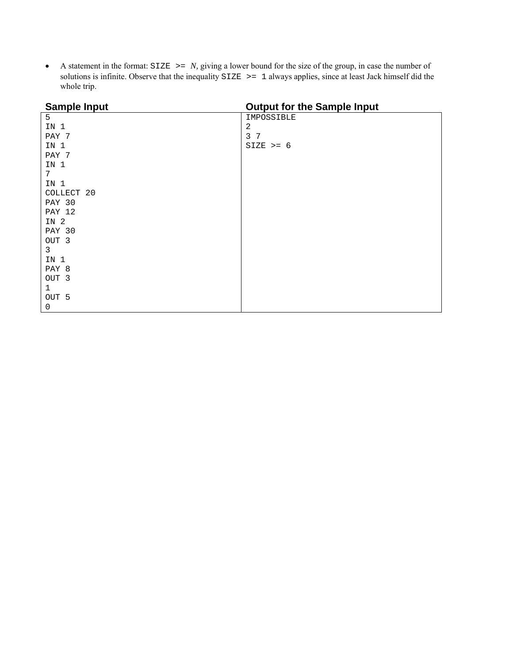• A statement in the format:  $\text{SIZE} > = N$ , giving a lower bound for the size of the group, in case the number of solutions is infinite. Observe that the inequality SIZE >= 1 always applies, since at least Jack himself did the whole trip.

| <b>Sample Input</b> | <b>Output for the Sample Input</b> |
|---------------------|------------------------------------|
| 5                   | IMPOSSIBLE                         |
| IN 1                | $\overline{2}$                     |
| PAY 7               | 3<br>7                             |
| IN 1                | $SIZE \ge 6$                       |
| PAY 7               |                                    |
| IN 1                |                                    |
| 7                   |                                    |
| IN 1                |                                    |
| COLLECT 20          |                                    |
| PAY 30              |                                    |
| PAY 12              |                                    |
| IN 2                |                                    |
| PAY 30              |                                    |
| OUT 3               |                                    |
| 3                   |                                    |
| IN 1                |                                    |
| PAY 8               |                                    |
| OUT 3               |                                    |
| 1                   |                                    |
| OUT 5               |                                    |
| 0                   |                                    |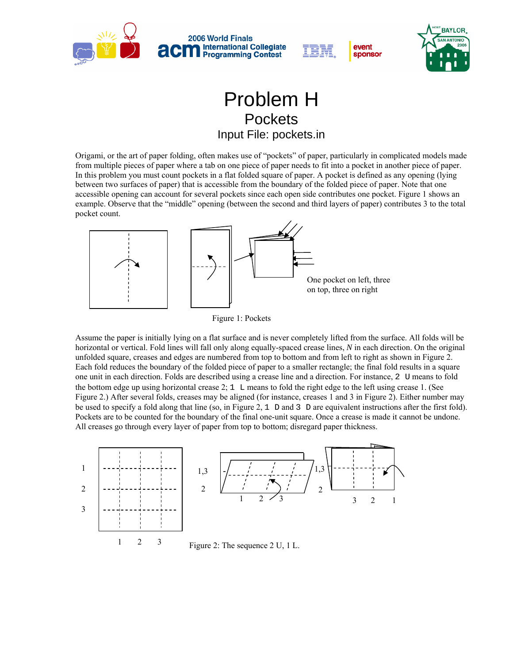

# Problem H **Pockets** Input File: pockets.in

Origami, or the art of paper folding, often makes use of "pockets" of paper, particularly in complicated models made from multiple pieces of paper where a tab on one piece of paper needs to fit into a pocket in another piece of paper. In this problem you must count pockets in a flat folded square of paper. A pocket is defined as any opening (lying between two surfaces of paper) that is accessible from the boundary of the folded piece of paper. Note that one accessible opening can account for several pockets since each open side contributes one pocket. Figure 1 shows an example. Observe that the "middle" opening (between the second and third layers of paper) contributes 3 to the total pocket count.



Figure 1: Pockets

Assume the paper is initially lying on a flat surface and is never completely lifted from the surface. All folds will be horizontal or vertical. Fold lines will fall only along equally-spaced crease lines, *N* in each direction. On the original unfolded square, creases and edges are numbered from top to bottom and from left to right as shown in Figure 2. Each fold reduces the boundary of the folded piece of paper to a smaller rectangle; the final fold results in a square one unit in each direction. Folds are described using a crease line and a direction. For instance, 2 U means to fold the bottom edge up using horizontal crease 2;  $1 \text{ L}$  means to fold the right edge to the left using crease 1. (See Figure 2.) After several folds, creases may be aligned (for instance, creases 1 and 3 in Figure 2). Either number may be used to specify a fold along that line (so, in Figure 2, 1 D and 3 D are equivalent instructions after the first fold). Pockets are to be counted for the boundary of the final one-unit square. Once a crease is made it cannot be undone. All creases go through every layer of paper from top to bottom; disregard paper thickness.



 $1 \quad 2 \quad 3$  Figure 2: The sequence 2 U, 1 L.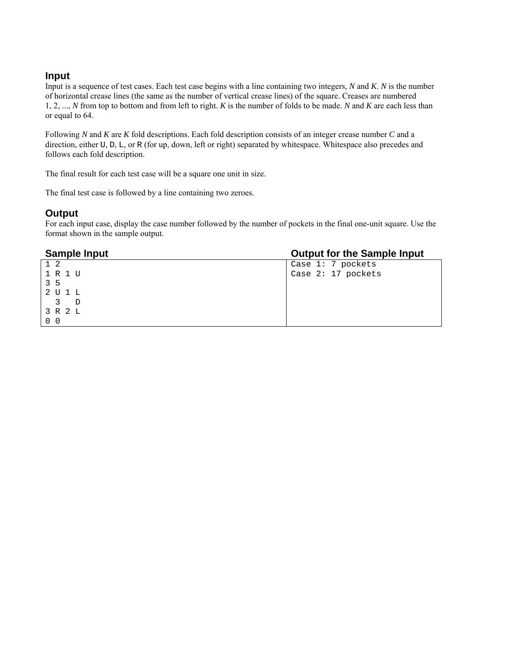# **Input**

Input is a sequence of test cases. Each test case begins with a line containing two integers, *N* and *K*. *N* is the number of horizontal crease lines (the same as the number of vertical crease lines) of the square. Creases are numbered 1, 2, ..., *N* from top to bottom and from left to right. *K* is the number of folds to be made. *N* and *K* are each less than or equal to 64.

Following *N* and *K* are *K* fold descriptions. Each fold description consists of an integer crease number *C* and a direction, either U, D, L, or R (for up, down, left or right) separated by whitespace. Whitespace also precedes and follows each fold description.

The final result for each test case will be a square one unit in size.

The final test case is followed by a line containing two zeroes.

# **Output**

For each input case, display the case number followed by the number of pockets in the final one-unit square. Use the format shown in the sample output.

### **Sample Input Community Community Community Contract Community Contract Community Contract Community Community Community Community Community Community Community Community Community Community Community Community Community C**

| $1\quad2$        | Case 1: 7 pockets  |
|------------------|--------------------|
| 1 R 1 U          | Case 2: 17 pockets |
| 3 5              |                    |
| 2 U 1 L          |                    |
| $\overline{3}$ D |                    |
| 3 R 2 L          |                    |
| $0\quad 0$       |                    |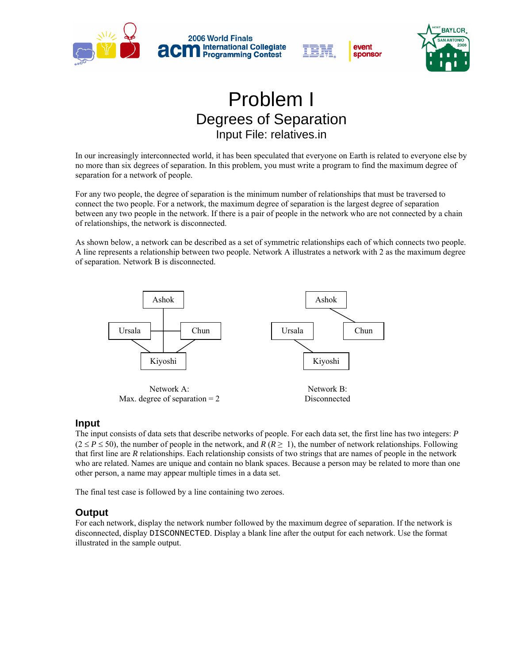

# Problem I Degrees of Separation Input File: relatives.in

In our increasingly interconnected world, it has been speculated that everyone on Earth is related to everyone else by no more than six degrees of separation. In this problem, you must write a program to find the maximum degree of separation for a network of people.

For any two people, the degree of separation is the minimum number of relationships that must be traversed to connect the two people. For a network, the maximum degree of separation is the largest degree of separation between any two people in the network. If there is a pair of people in the network who are not connected by a chain of relationships, the network is disconnected.

As shown below, a network can be described as a set of symmetric relationships each of which connects two people. A line represents a relationship between two people. Network A illustrates a network with 2 as the maximum degree of separation. Network B is disconnected.



### **Input**

The input consists of data sets that describe networks of people. For each data set, the first line has two integers: *P*  $(2 \le P \le 50)$ , the number of people in the network, and *R* ( $R \ge 1$ ), the number of network relationships. Following that first line are *R* relationships. Each relationship consists of two strings that are names of people in the network who are related. Names are unique and contain no blank spaces. Because a person may be related to more than one other person, a name may appear multiple times in a data set.

The final test case is followed by a line containing two zeroes.

### **Output**

For each network, display the network number followed by the maximum degree of separation. If the network is disconnected, display DISCONNECTED. Display a blank line after the output for each network. Use the format illustrated in the sample output.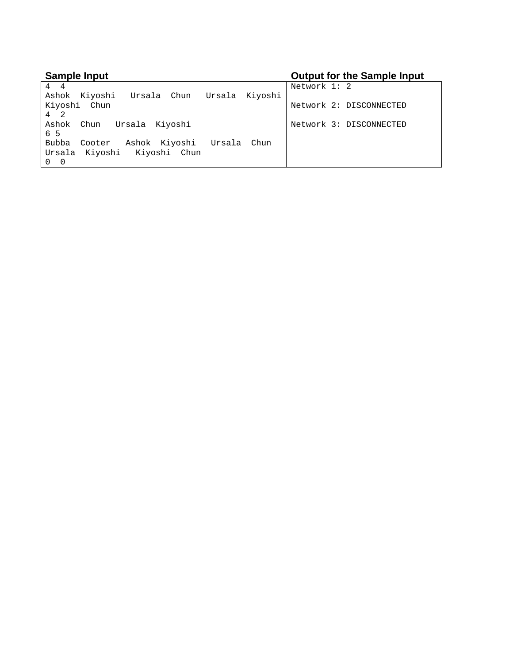| <b>Sample Input</b>                             | <b>Output for the Sample Input</b> |
|-------------------------------------------------|------------------------------------|
| $4 \quad 4$                                     | Network 1: 2                       |
| Ursala Chun<br>Ursala Kiyoshi<br>Ashok Kiyoshi  |                                    |
| Kiyoshi Chun                                    | Network 2: DISCONNECTED            |
| $4\quad 2$                                      |                                    |
| Ashok Chun<br>Ursala Kiyoshi                    | Network 3: DISCONNECTED            |
| 65                                              |                                    |
| Bubba<br>Ashok Kiyoshi Ursala<br>Chun<br>Cooter |                                    |
| Ursala Kiyoshi Kiyoshi Chun                     |                                    |
| $0\quad 0$                                      |                                    |
|                                                 |                                    |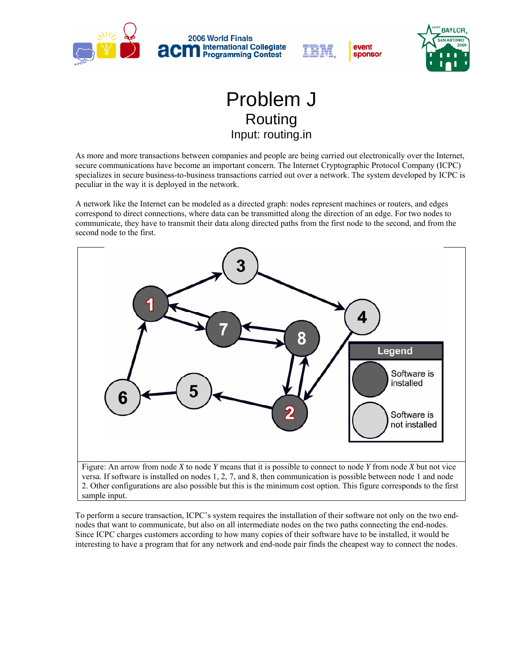

# Problem J Routing Input: routing.in

As more and more transactions between companies and people are being carried out electronically over the Internet, secure communications have become an important concern. The Internet Cryptographic Protocol Company (ICPC) specializes in secure business-to-business transactions carried out over a network. The system developed by ICPC is peculiar in the way it is deployed in the network.

A network like the Internet can be modeled as a directed graph: nodes represent machines or routers, and edges correspond to direct connections, where data can be transmitted along the direction of an edge. For two nodes to communicate, they have to transmit their data along directed paths from the first node to the second, and from the second node to the first.



To perform a secure transaction, ICPC's system requires the installation of their software not only on the two endnodes that want to communicate, but also on all intermediate nodes on the two paths connecting the end-nodes. Since ICPC charges customers according to how many copies of their software have to be installed, it would be interesting to have a program that for any network and end-node pair finds the cheapest way to connect the nodes.